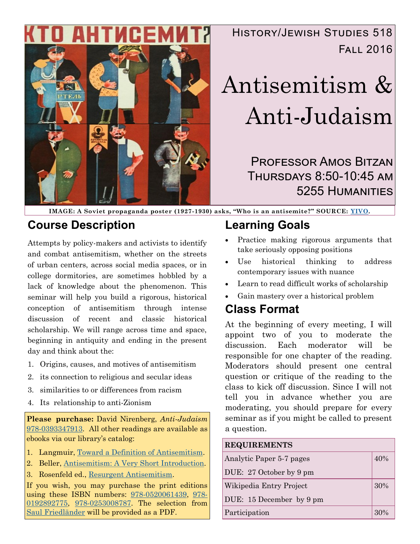

## History/Jewish Studies 518 Fall 2016

# Antisemitism & Anti-Judaism

Professor Amos Bitzan Thursdays 8:50-10:45 am **5255 HUMANITIES** 

**IMAGE: A Soviet propaganda poster (1927-1930) asks, "Who is an antisemite?" SOURCE: [YIVO.](http://yivoencyclopedia.org/article.aspx/Antisemitic_Parties_and_Movements)**

### **Course Description**

Attempts by policy-makers and activists to identify and combat antisemitism, whether on the streets of urban centers, across social media spaces, or in college dormitories, are sometimes hobbled by a lack of knowledge about the phenomenon. This seminar will help you build a rigorous, historical conception of antisemitism through intense discussion of recent and classic historical scholarship. We will range across time and space, beginning in antiquity and ending in the present day and think about the:

- 1. Origins, causes, and motives of antisemitism
- 2. its connection to religious and secular ideas
- 3. similarities to or differences from racism
- 4. Its relationship to anti-Zionism

**Please purchase:** David Nirenberg, *Anti-Judaism*  [978-0393347913.](https://www.amazon.com/gp/offer-listing/0393347915) All other readings are available as ebooks via our library's catalog:

- 1. Langmuir, [Toward a Definition of Antisemitism.](https://search.library.wisc.edu/catalog/9910658296402121)
- 2. Beller, [Antisemitism: A Very Short Introduction.](https://search.library.wisc.edu/catalog/9911042869802121)
- 3. Rosenfeld ed., [Resurgent Antisemitism.](https://search.library.wisc.edu/catalog/9911079227002121)

If you wish, you may purchase the print editions using these ISBN numbers: [978-0520061439,](https://www.amazon.com/gp/offer-listing/0520061446) [978-](https://www.amazon.com/gp/offer-listing/0192892770) [0192892775,](https://www.amazon.com/gp/offer-listing/0192892770) [978-0253008787.](https://www.amazon.com/gp/offer-listing/0253008786) The selection from [Saul Friedländer](https://www.amazon.com/gp/offer-listing/0060190426) will be provided as a PDF.

## **Learning Goals**

- Practice making rigorous arguments that take seriously opposing positions
- Use historical thinking to address contemporary issues with nuance
- Learn to read difficult works of scholarship
- Gain mastery over a historical problem

### **Class Format**

At the beginning of every meeting, I will appoint two of you to moderate the discussion. Each moderator will be responsible for one chapter of the reading. Moderators should present one central question or critique of the reading to the class to kick off discussion. Since I will not tell you in advance whether you are moderating, you should prepare for every seminar as if you might be called to present a question.

### **REQUIREMENTS**

| Analytic Paper 5-7 pages             |  |  |
|--------------------------------------|--|--|
| DUE: 27 October by 9 pm              |  |  |
| Wikipedia Entry Project              |  |  |
| DUE: $15$ December by $9 \text{ pm}$ |  |  |
| Participation                        |  |  |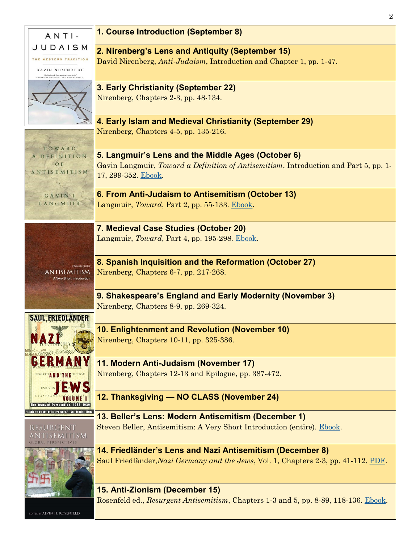| $ANTI-$                                                                                                                           | 1. Course Introduction (September 8)                                                                                                                              |  |  |  |
|-----------------------------------------------------------------------------------------------------------------------------------|-------------------------------------------------------------------------------------------------------------------------------------------------------------------|--|--|--|
| <b>JUDAISM</b><br>WESTERN TRADITION<br>DAVID NIRENBERG<br>n-Jadrim is that rare thing, a great book."<br>Y GBAFTON . THE NEW BEPI | 2. Nirenberg's Lens and Antiquity (September 15)<br>David Nirenberg, Anti-Judaism, Introduction and Chapter 1, pp. 1-47.                                          |  |  |  |
|                                                                                                                                   | 3. Early Christianity (September 22)<br>Nirenberg, Chapters 2-3, pp. 48-134.                                                                                      |  |  |  |
| TOWARD                                                                                                                            | 4. Early Islam and Medieval Christianity (September 29)<br>Nirenberg, Chapters 4-5, pp. 135-216.                                                                  |  |  |  |
| A DEFINITION<br>OF<br>ANTISEMITISM                                                                                                | 5. Langmuir's Lens and the Middle Ages (October 6)<br>Gavin Langmuir, Toward a Definition of Antisemitism, Introduction and Part 5, pp. 1-<br>17, 299-352. Ebook. |  |  |  |
| GAVINI.<br>LANGMUIR                                                                                                               | 6. From Anti-Judaism to Antisemitism (October 13)<br>Langmuir, Toward, Part 2, pp. 55-133. Ebook.                                                                 |  |  |  |
|                                                                                                                                   | 7. Medieval Case Studies (October 20)<br>Langmuir, Toward, Part 4, pp. 195-298. Ebook.                                                                            |  |  |  |
| Steven Beller<br>ANTISEMITISM<br>A Very Short Introduction                                                                        | 8. Spanish Inquisition and the Reformation (October 27)<br>Nirenberg, Chapters 6-7, pp. 217-268.                                                                  |  |  |  |
| <b>SAUL FRIEDLANDER</b>                                                                                                           | 9. Shakespeare's England and Early Modernity (November 3)<br>Nirenberg, Chapters 8-9, pp. 269-324.                                                                |  |  |  |
|                                                                                                                                   | 10. Enlightenment and Revolution (November 10)<br>Nirenberg, Chapters 10-11, pp. 325-386.                                                                         |  |  |  |
| GERMAN<br>A NDSITH EEREFRAC                                                                                                       | 11. Modern Anti-Judaism (November 17)<br>Nirenberg, Chapters 12-13 and Epilogue, pp. 387-472.                                                                     |  |  |  |
| The Years of Persecution, 1933-1939                                                                                               | 12. Thanksgiving - NO CLASS (November 24)                                                                                                                         |  |  |  |
| ly to be the definitive work." -Los Angeles Times<br>RESURGENT<br>TISEMITI <u>sm</u>                                              | 13. Beller's Lens: Modern Antisemitism (December 1)<br>Steven Beller, Antisemitism: A Very Short Introduction (entire). Ebook.                                    |  |  |  |
|                                                                                                                                   | 14. Friedländer's Lens and Nazi Antisemitism (December 8)<br>Saul Friedländer, Nazi Germany and the Jews, Vol. 1, Chapters 2-3, pp. 41-112. PDF.                  |  |  |  |
| EDITED BY ALVIN H. ROSENFELD                                                                                                      | 15. Anti-Zionism (December 15)<br>Rosenfeld ed., Resurgent Antisemitism, Chapters 1-3 and 5, pp. 8-89, 118-136. Ebook.                                            |  |  |  |

2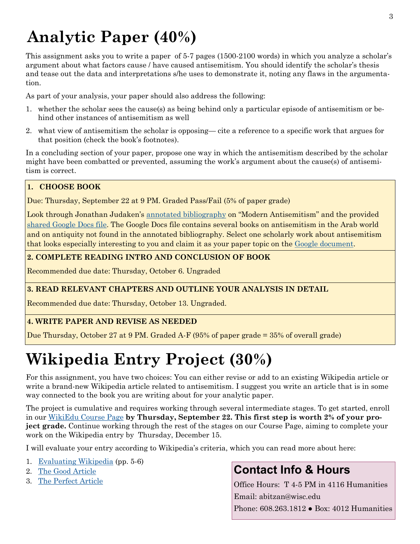## **Analytic Paper (40%)**

This assignment asks you to write a paper of 5-7 pages (1500-2100 words) in which you analyze a scholar's argument about what factors cause / have caused antisemitism. You should identify the scholar's thesis and tease out the data and interpretations s/he uses to demonstrate it, noting any flaws in the argumentation.

As part of your analysis, your paper should also address the following:

- 1. whether the scholar sees the cause(s) as being behind only a particular episode of antisemitism or behind other instances of antisemitism as well
- 2. what view of antisemitism the scholar is opposing— cite a reference to a specific work that argues for that position (check the book's footnotes).

In a concluding section of your paper, propose one way in which the antisemitism described by the scholar might have been combatted or prevented, assuming the work's argument about the cause(s) of antisemitism is correct.

#### **1. CHOOSE BOOK**

Due: Thursday, September 22 at 9 PM. Graded Pass/Fail (5% of paper grade)

Look through Jonathan Judaken's [annotated bibliography](https://uwmadison.box.com/s/9zncrgmqcf9bwjrnneskrblqzfy6e1k9) on "Modern Antisemitism" and the provided [shared Google Docs file.](https://docs.google.com/a/wisc.edu/document/d/1PVA1P0qIxxa8ncAeXg1FoeEAI_Vcx5EmTeghWdm5Los/edit?usp=sharing) The Google Docs file contains several books on antisemitism in the Arab world and on antiquity not found in the annotated bibliography. Select one scholarly work about antisemitism that looks especially interesting to you and claim it as your paper topic on the [Google document.](https://docs.google.com/a/wisc.edu/document/d/1PVA1P0qIxxa8ncAeXg1FoeEAI_Vcx5EmTeghWdm5Los/edit?usp=sharing)

#### **2. COMPLETE READING INTRO AND CONCLUSION OF BOOK**

Recommended due date: Thursday, October 6. Ungraded

#### **3. READ RELEVANT CHAPTERS AND OUTLINE YOUR ANALYSIS IN DETAIL**

Recommended due date: Thursday, October 13. Ungraded.

#### **4. WRITE PAPER AND REVISE AS NEEDED**

Due Thursday, October 27 at 9 PM. Graded A-F (95% of paper grade = 35% of overall grade)

## **Wikipedia Entry Project (30%)**

For this assignment, you have two choices: You can either revise or add to an existing Wikipedia article or write a brand-new Wikipedia article related to antisemitism. I suggest you write an article that is in some way connected to the book you are writing about for your analytic paper.

The project is cumulative and requires working through several intermediate stages. To get started, enroll in our [WikiEdu Course Page](https://dashboard.wikiedu.org/courses/University_of_Wisconsin-Madison/Antisemitism_and_Anti-Judaism_(Fall_2016)?enroll=vwyflxjk) **by Thursday, September 22. This first step is worth 2% of your project grade.** Continue working through the rest of the stages on our Course Page, aiming to complete your work on the Wikipedia entry by Thursday, December 15.

I will evaluate your entry according to Wikipedia's criteria, which you can read more about here:

- 1. [Evaluating Wikipedia](https://upload.wikimedia.org/wikipedia/commons/9/96/Evaluating_Wikipedia_brochure_%28Wiki_Education_Foundation%29.pdf%20p.%205-6) (pp. 5-6)
- 2. [The Good Article](https://en.wikipedia.org/wiki/Wikipedia:Good_article_criteria)
- 3. [The Perfect Article](https://en.wikipedia.org/wiki/Wikipedia:The_perfect_article)

## **Contact Info & Hours**

Office Hours: T 4-5 PM in 4116 Humanities Email: abitzan@wisc.edu

Phone: 608.263.1812 ● Box: 4012 Humanities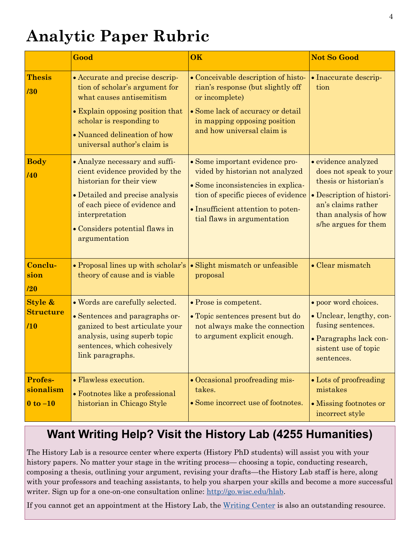## **Analytic Paper Rubric**

|                                             | Good                                                                                                                                                                                                                                  | OK                                                                                                                                                                                                                  | <b>Not So Good</b>                                                                                                                                                        |
|---------------------------------------------|---------------------------------------------------------------------------------------------------------------------------------------------------------------------------------------------------------------------------------------|---------------------------------------------------------------------------------------------------------------------------------------------------------------------------------------------------------------------|---------------------------------------------------------------------------------------------------------------------------------------------------------------------------|
| <b>Thesis</b><br>/30                        | • Accurate and precise descrip-<br>tion of scholar's argument for<br>what causes antisemitism<br>• Explain opposing position that<br>scholar is responding to<br>• Nuanced delineation of how<br>universal author's claim is          | • Conceivable description of histo-<br>rian's response (but slightly off<br>or incomplete)<br>• Some lack of accuracy or detail<br>in mapping opposing position<br>and how universal claim is                       | • Inaccurate descrip-<br>tion                                                                                                                                             |
| <b>Body</b><br>/40                          | • Analyze necessary and suffi-<br>cient evidence provided by the<br>historian for their view<br>• Detailed and precise analysis<br>of each piece of evidence and<br>interpretation<br>• Considers potential flaws in<br>argumentation | • Some important evidence pro-<br>vided by historian not analyzed<br>· Some inconsistencies in explica-<br>tion of specific pieces of evidence<br>• Insufficient attention to poten-<br>tial flaws in argumentation | · evidence analyzed<br>does not speak to your<br>thesis or historian's<br>• Description of histori-<br>an's claims rather<br>than analysis of how<br>s/he argues for them |
| Conclu-<br>sion<br>120                      | • Proposal lines up with scholar's<br>theory of cause and is viable                                                                                                                                                                   | · Slight mismatch or unfeasible<br>proposal                                                                                                                                                                         | $\bullet$ Clear mismatch                                                                                                                                                  |
| Style &<br><b>Structure</b><br>/10          | • Words are carefully selected.<br>• Sentences and paragraphs or-<br>ganized to best articulate your<br>analysis, using superb topic<br>sentences, which cohesively<br>link paragraphs.                                               | • Prose is competent.<br>• Topic sentences present but do<br>not always make the connection<br>to argument explicit enough.                                                                                         | • poor word choices.<br>• Unclear, lengthy, con-<br>fusing sentences.<br>• Paragraphs lack con-<br>sistent use of topic<br>sentences.                                     |
| <b>Profes-</b><br>sionalism<br>$0$ to $-10$ | • Flawless execution.<br>• Footnotes like a professional<br>historian in Chicago Style                                                                                                                                                | • Occasional proofreading mis-<br>takes.<br>• Some incorrect use of footnotes.                                                                                                                                      | • Lots of proofreading<br>mistakes<br>• Missing footnotes or<br>incorrect style                                                                                           |

## **Want Writing Help? Visit the History Lab (4255 Humanities)**

The History Lab is a resource center where experts (History PhD students) will assist you with your history papers. No matter your stage in the writing process— choosing a topic, conducting research, composing a thesis, outlining your argument, revising your drafts—the History Lab staff is here, along with your professors and teaching assistants, to help you sharpen your skills and become a more successful writer. Sign up for a one-on-one consultation online: [http://go.wisc.edu/hlab.](http://go.wisc.edu/hlab)

If you cannot get an appointment at the History Lab, the [Writing Center](http://writing.wisc.edu/index.html) is also an outstanding resource.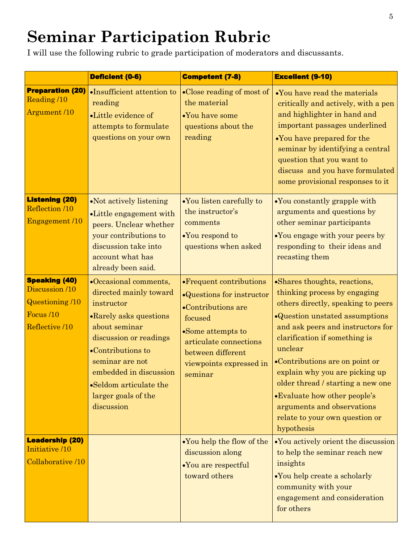## **Seminar Participation Rubric**

I will use the following rubric to grade participation of moderators and discussants.

|                                                                                                 | Deficient (0-6)                                                                                                                                                                                                                                                      | <b>Competent (7-8)</b>                                                                                                                                                                           | <b>Excellent (9-10)</b>                                                                                                                                                                                                                                                                                                                                                                                                                      |
|-------------------------------------------------------------------------------------------------|----------------------------------------------------------------------------------------------------------------------------------------------------------------------------------------------------------------------------------------------------------------------|--------------------------------------------------------------------------------------------------------------------------------------------------------------------------------------------------|----------------------------------------------------------------------------------------------------------------------------------------------------------------------------------------------------------------------------------------------------------------------------------------------------------------------------------------------------------------------------------------------------------------------------------------------|
| <b>Preparation (20)</b><br>Reading /10<br>Argument /10                                          | ·Insufficient attention to<br>reading<br>•Little evidence of<br>attempts to formulate<br>questions on your own                                                                                                                                                       | •Close reading of most of<br>the material<br>•You have some<br>questions about the<br>reading                                                                                                    | •You have read the materials<br>critically and actively, with a pen<br>and highlighter in hand and<br>important passages underlined<br>•You have prepared for the<br>seminar by identifying a central<br>question that you want to<br>discuss and you have formulated<br>some provisional responses to it                                                                                                                                    |
| <b>Listening (20)</b><br>Reflection /10<br><b>Engagement /10</b>                                | • Not actively listening<br>•Little engagement with<br>peers. Unclear whether<br>your contributions to<br>discussion take into<br>account what has<br>already been said.                                                                                             | •You listen carefully to<br>the instructor's<br>comments<br>•You respond to<br>questions when asked                                                                                              | •You constantly grapple with<br>arguments and questions by<br>other seminar participants<br>•You engage with your peers by<br>responding to their ideas and<br>recasting them                                                                                                                                                                                                                                                                |
| <b>Speaking (40)</b><br>Discussion /10<br><b>Questioning /10</b><br>Focus /10<br>Reflective /10 | •Occasional comments,<br>directed mainly toward<br>instructor<br>• Rarely asks questions<br>about seminar<br>discussion or readings<br>•Contributions to<br>seminar are not<br>embedded in discussion<br>•Seldom articulate the<br>larger goals of the<br>discussion | • Frequent contributions<br>•Questions for instructor<br>•Contributions are<br>focused<br>•Some attempts to<br>articulate connections<br>between different<br>viewpoints expressed in<br>seminar | •Shares thoughts, reactions,<br>thinking process by engaging<br>others directly, speaking to peers<br>•Question unstated assumptions<br>and ask peers and instructors for<br>clarification if something is<br>unclear<br>•Contributions are on point or<br>explain why you are picking up<br>older thread / starting a new one<br>•Evaluate how other people's<br>arguments and observations<br>relate to your own question or<br>hypothesis |
| <b>Leadership (20)</b><br>Initiative /10<br>Collaborative /10                                   |                                                                                                                                                                                                                                                                      | •You help the flow of the<br>discussion along<br>•You are respectful<br>toward others                                                                                                            | •You actively orient the discussion<br>to help the seminar reach new<br>insights<br>.You help create a scholarly<br>community with your<br>engagement and consideration<br>for others                                                                                                                                                                                                                                                        |